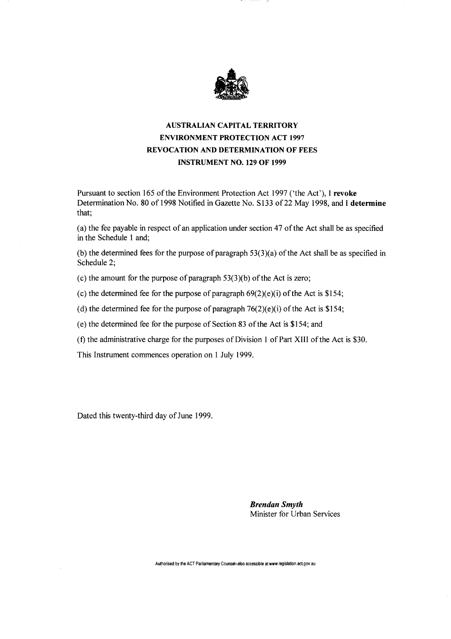

# **AUSTRALIAN CAPITAL TERRITORY ENVIRONMENT PROTECTION** ACT 1997 **REVOCATION AND DETERMINATION OF** FEES INSTRUMENT **NO. 129** OF **1999**

Pursuant to section 165 of the Environment Protection Act 1997 ('the Act'), I **revoke**  Determination No. 80 of 1998 Notified in Gazette No. S133 of 22 May 1998, and I **determine**  that;

(a) the fee payable in respect of an application under section 47 of the Act shall be as specified in the Schedule 1 and;

(b) the determined fees for the purpose of paragraph  $53(3)(a)$  of the Act shall be as specified in Schedule 2;

(c) the amount for the purpose of paragraph 53(3)(b) of the Act is zero;

(c) the determined fee for the purpose of paragraph  $69(2)(e)(i)$  of the Act is \$154;

(d) the determined fee for the purpose of paragraph  $76(2)(e)(i)$  of the Act is \$154;

(e) the determined fee for the purpose of Section 83 of the Act is \$154; and

(f) the administrative charge for the purposes of Division 1 of Part XIII of the Act is \$30.

This Instrument commences operation on 1 July 1999.

Dated this twenty-third day of June 1999.

*Brendan Smyth*  Minister for Urban Services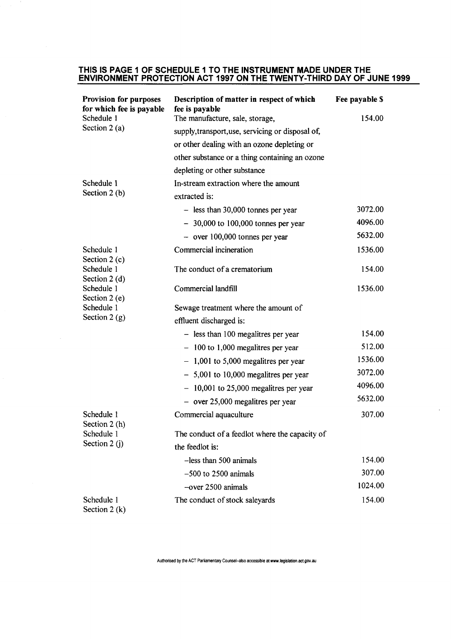#### **THIS IS PAGE 1 OF SCHEDULE 1 TO THE INSTRUMENT MADE UNDER THE ENVIRONMENT** PROTECTION ACT 1997 **ON** THE **TWENTY-THIRD DAY OF JUNE** 1999

| <b>Provision for purposes</b><br>for which fee is payable   | Description of matter in respect of which<br>fee is payable | Fee payable \$ |
|-------------------------------------------------------------|-------------------------------------------------------------|----------------|
| Schedule 1<br>Section $2(a)$                                | The manufacture, sale, storage,                             | 154.00         |
|                                                             | supply, transport, use, servicing or disposal of,           |                |
|                                                             | or other dealing with an ozone depleting or                 |                |
|                                                             | other substance or a thing containing an ozone              |                |
|                                                             | depleting or other substance                                |                |
| Schedule 1<br>Section 2 (b)                                 | In-stream extraction where the amount                       |                |
|                                                             | extracted is:                                               |                |
|                                                             | $-$ less than 30,000 tonnes per year                        | 3072.00        |
|                                                             | $-30,000$ to 100,000 tonnes per year                        | 4096.00        |
|                                                             | $-$ over 100,000 tonnes per year                            | 5632.00        |
| Schedule 1<br>Section $2(c)$                                | Commercial incineration                                     | 1536.00        |
| Schedule 1<br>Section $2(d)$                                | The conduct of a crematorium                                | 154.00         |
| Schedule 1<br>Section $2(e)$                                | Commercial landfill                                         | 1536.00        |
| Schedule 1                                                  | Sewage treatment where the amount of                        |                |
| Section $2(g)$                                              | effluent discharged is:                                     |                |
|                                                             | $-$ less than 100 megalitres per year                       | 154.00         |
|                                                             | $-100$ to 1,000 megalitres per year                         | 512.00         |
|                                                             | $-1,001$ to 5,000 megalitres per year                       | 1536.00        |
|                                                             | $-$ 5,001 to 10,000 megalitres per year                     | 3072.00        |
|                                                             | $-10,001$ to 25,000 megalitres per year                     | 4096.00        |
|                                                             | $-$ over 25,000 megalitres per year                         | 5632.00        |
| Schedule 1<br>Section 2 (h)<br>Schedule 1<br>Section $2(j)$ | Commercial aquaculture                                      | 307.00         |
|                                                             | The conduct of a feedlot where the capacity of              |                |
|                                                             | the feedlot is:                                             |                |
|                                                             | -less than 500 animals                                      | 154.00         |
|                                                             | $-500$ to 2500 animals                                      | 307.00         |
|                                                             | $-$ over 2500 animals                                       | 1024.00        |
| Schedule 1<br>Section $2(k)$                                | The conduct of stock saleyards                              | 154.00         |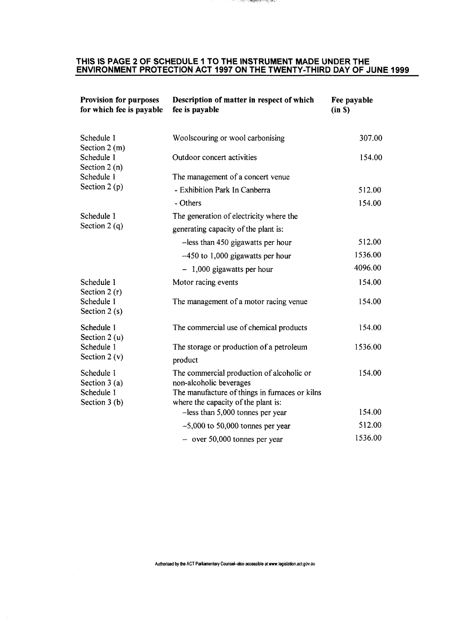#### ा अस्ति । एक<del>ा क्रमी का</del> सामान्य । अस्ति ।

# **THIS IS PAGE 2 OF SCHEDULE 1 TO THE INSTRUMENT MADE UNDER THE ENVIRONMENT PROTECTION ACT 1997 ON THE TWENTY-THIRD DAY OF JUNE 1999**

| Provision for purposes<br>for which fee is payable            | Description of matter in respect of which<br>fee is payable                                                                                                   | Fee payable<br>(in S) |
|---------------------------------------------------------------|---------------------------------------------------------------------------------------------------------------------------------------------------------------|-----------------------|
| Schedule 1<br>Section 2 (m)                                   | Woolscouring or wool carbonising                                                                                                                              | 307.00                |
| Schedule 1<br>Section $2(n)$<br>Schedule 1<br>Section $2(p)$  | Outdoor concert activities                                                                                                                                    | 154.00                |
|                                                               | The management of a concert venue                                                                                                                             |                       |
|                                                               | - Exhibition Park In Canberra                                                                                                                                 | 512.00                |
|                                                               | - Others                                                                                                                                                      | 154.00                |
| Schedule 1<br>Section $2(q)$                                  | The generation of electricity where the                                                                                                                       |                       |
|                                                               | generating capacity of the plant is:                                                                                                                          |                       |
|                                                               | -less than 450 gigawatts per hour                                                                                                                             | 512.00                |
|                                                               | $-450$ to 1,000 gigawatts per hour                                                                                                                            | 1536.00               |
|                                                               | $-1,000$ gigawatts per hour                                                                                                                                   | 4096.00               |
| Schedule 1<br>Section $2(r)$<br>Schedule 1<br>Section $2(s)$  | Motor racing events                                                                                                                                           | 154.00                |
|                                                               | The management of a motor racing venue                                                                                                                        | 154.00                |
| Schedule 1<br>Section $2(u)$<br>Schedule 1<br>Section 2 $(v)$ | The commercial use of chemical products                                                                                                                       | 154.00                |
|                                                               | The storage or production of a petroleum<br>product                                                                                                           | 1536.00               |
| Schedule 1<br>Section $3(a)$<br>Schedule 1<br>Section $3(b)$  | The commercial production of alcoholic or<br>non-alcoholic beverages<br>The manufacture of things in furnaces or kilns<br>where the capacity of the plant is: | 154.00                |
|                                                               | $-$ less than 5,000 tonnes per year                                                                                                                           | 154.00                |
|                                                               | $-5,000$ to 50,000 tonnes per year                                                                                                                            | 512.00                |
|                                                               | $-$ over 50,000 tonnes per year                                                                                                                               | 1536.00               |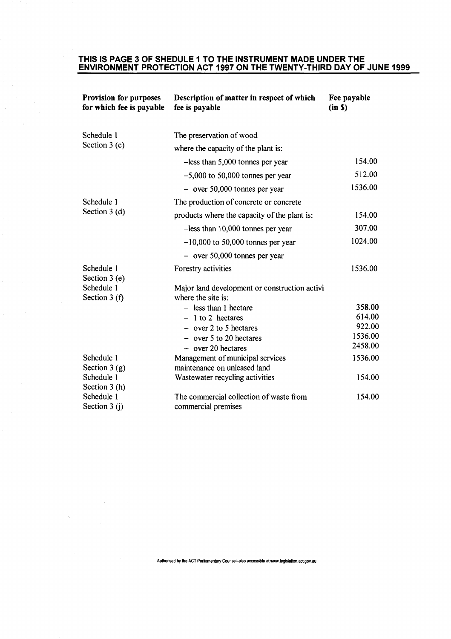### **THIS IS PAGE 3 OF SHEDULE 1 TO THE INSTRUMENT MADE UNDER THE ENVIRONMENT PROTECTION ACT 1997 ON THE TWENTY-THIRD DAY OF JUNE 1999**

 $\hat{\boldsymbol{\beta}}$ 

k, f

 $\frac{1}{2}$ 

 $\sim$ 

| Provision for purposes<br>for which fee is payable | Description of matter in respect of which<br>fee is payable | Fee payable<br>(in S) |
|----------------------------------------------------|-------------------------------------------------------------|-----------------------|
| Schedule 1<br>Section $3(c)$                       | The preservation of wood                                    |                       |
|                                                    | where the capacity of the plant is:                         |                       |
|                                                    | $-$ less than 5,000 tonnes per year                         | 154.00                |
|                                                    | $-5,000$ to 50,000 tonnes per year                          | 512.00                |
|                                                    | $-$ over 50,000 tonnes per year                             | 1536.00               |
| Schedule 1                                         | The production of concrete or concrete                      |                       |
| Section $3(d)$                                     | products where the capacity of the plant is:                | 154.00                |
|                                                    | $-$ less than 10,000 tonnes per year                        | 307.00                |
|                                                    | $-10,000$ to 50,000 tonnes per year                         | 1024.00               |
|                                                    | $-$ over 50,000 tonnes per year                             |                       |
| Schedule 1<br>Section $3(e)$                       | Forestry activities                                         | 1536.00               |
| Schedule 1                                         | Major land development or construction activi               |                       |
| Section $3(f)$                                     | where the site is:                                          |                       |
|                                                    | $-$ less than 1 hectare                                     | 358.00                |
|                                                    | $-1$ to 2 hectares                                          | 614.00                |
|                                                    | $-$ over 2 to 5 hectares                                    | 922.00                |
|                                                    | $-$ over 5 to 20 hectares                                   | 1536.00               |
|                                                    | $-$ over 20 hectares                                        | 2458.00               |
| Schedule 1                                         | Management of municipal services                            | 1536.00               |
| Section $3(g)$                                     | maintenance on unleased land                                |                       |
| Schedule 1                                         | Wastewater recycling activities                             | 154.00                |
| Section 3 (h)                                      |                                                             |                       |
| Schedule 1                                         | The commercial collection of waste from                     | 154.00                |
| Section 3 (j)                                      | commercial premises                                         |                       |